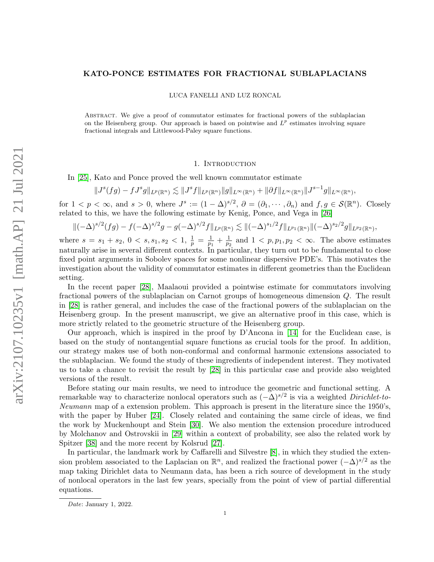## KATO-PONCE ESTIMATES FOR FRACTIONAL SUBLAPLACIANS

LUCA FANELLI AND LUZ RONCAL

Abstract. We give a proof of commutator estimates for fractional powers of the sublaplacian on the Heisenberg group. Our approach is based on pointwise and  $L^p$  estimates involving square fractional integrals and Littlewood-Paley square functions.

## 1. INTRODUCTION

In [\[25\]](#page-17-0), Kato and Ponce proved the well known commutator estimate

$$
||J^{s}(fg) - fJ^{s}g||_{L^{p}(\mathbb{R}^{n})} \lesssim ||J^{s}f||_{L^{p}(\mathbb{R}^{n})}||g||_{L^{\infty}(\mathbb{R}^{n})} + ||\partial f||_{L^{\infty}(\mathbb{R}^{n})}||J^{s-1}g||_{L^{\infty}(\mathbb{R}^{n})},
$$

for  $1 < p < \infty$ , and  $s > 0$ , where  $J^s := (1 - \Delta)^{s/2}$ ,  $\partial = (\partial_1, \cdots, \partial_n)$  and  $f, g \in \mathcal{S}(\mathbb{R}^n)$ . Closely related to this, we have the following estimate by Kenig, Ponce, and Vega in [\[26\]](#page-17-1)

$$
\|(-\Delta)^{s/2}(fg) - f(-\Delta)^{s/2}g - g(-\Delta)^{s/2}f\|_{L^p(\mathbb{R}^n)} \lesssim \|(-\Delta)^{s_1/2}f\|_{L^{p_1}(\mathbb{R}^n)}\|(-\Delta)^{s_2/2}g\|_{L^{p_2}(\mathbb{R}^n)},
$$

where  $s = s_1 + s_2, 0 < s, s_1, s_2 < 1, \frac{1}{p} = \frac{1}{p_1}$  $\frac{1}{p_1} + \frac{1}{p_2}$  $\frac{1}{p_2}$  and  $1 < p, p_1, p_2 < \infty$ . The above estimates naturally arise in several different contexts. In particular, they turn out to be fundamental to close fixed point arguments in Sobolev spaces for some nonlinear dispersive PDE's. This motivates the investigation about the validity of commutator estimates in different geometries than the Euclidean setting.

In the recent paper [\[28\]](#page-17-2), Maalaoui provided a pointwise estimate for commutators involving fractional powers of the sublaplacian on Carnot groups of homogeneous dimension Q. The result in [\[28\]](#page-17-2) is rather general, and includes the case of the fractional powers of the sublaplacian on the Heisenberg group. In the present manuscript, we give an alternative proof in this case, which is more strictly related to the geometric structure of the Heisenberg group.

Our approach, which is inspired in the proof by D'Ancona in [\[14\]](#page-16-0) for the Euclidean case, is based on the study of nontangential square functions as crucial tools for the proof. In addition, our strategy makes use of both non-conformal and conformal harmonic extensions associated to the sublaplacian. We found the study of these ingredients of independent interest. They motivated us to take a chance to revisit the result by [\[28\]](#page-17-2) in this particular case and provide also weighted versions of the result.

Before stating our main results, we need to introduce the geometric and functional setting. A remarkable way to characterize nonlocal operators such as  $(-\Delta)^{s/2}$  is via a weighted Dirichlet-to-Neumann map of a extension problem. This approach is present in the literature since the 1950's, with the paper by Huber [\[24\]](#page-16-1). Closely related and containing the same circle of ideas, we find the work by Muckenhoupt and Stein [\[30\]](#page-17-3). We also mention the extension procedure introduced by Molchanov and Ostrovskii in [\[29\]](#page-17-4) within a context of probability, see also the related work by Spitzer [\[38\]](#page-17-5) and the more recent by Kolsrud [\[27\]](#page-17-6).

In particular, the landmark work by Caffarelli and Silvestre [\[8\]](#page-16-2), in which they studied the extension problem associated to the Laplacian on  $\mathbb{R}^n$ , and realized the fractional power  $(-\Delta)^{s/2}$  as the map taking Dirichlet data to Neumann data, has been a rich source of development in the study of nonlocal operators in the last few years, specially from the point of view of partial differential equations.

Date: January 1, 2022.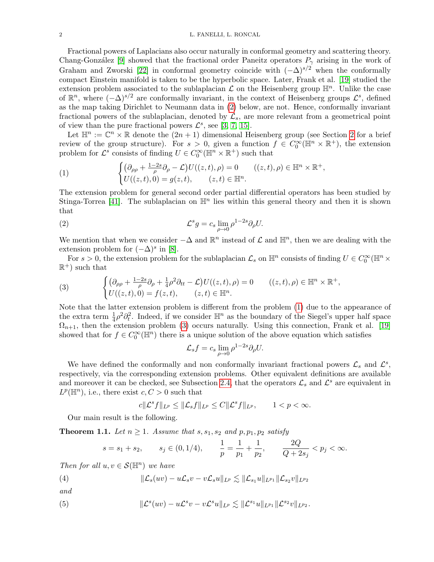## 2 L. FANELLI, L. RONCAL

Fractional powers of Laplacians also occur naturally in conformal geometry and scattering theory. Chang-González [\[9\]](#page-16-3) showed that the fractional order Paneitz operators  $P_{\gamma}$  arising in the work of Graham and Zworski [\[22\]](#page-16-4) in conformal geometry coincide with  $(-\Delta)^{s/2}$  when the conformally compact Einstein manifold is taken to be the hyperbolic space. Later, Frank et al. [\[19\]](#page-16-5) studied the extension problem associated to the sublaplacian  $\mathcal L$  on the Heisenberg group  $\mathbb H^n$ . Unlike the case of  $\mathbb{R}^n$ , where  $(-\Delta)^{s/2}$  are conformally invariant, in the context of Heisenberg groups  $\mathcal{L}^s$ , defined as the map taking Dirichlet to Neumann data in [\(2\)](#page-1-0) below, are not. Hence, conformally invariant fractional powers of the sublaplacian, denoted by  $\mathcal{L}_s$ , are more relevant from a geometrical point of view than the pure fractional powers  $\mathcal{L}^s$ , see [\[3,](#page-16-6) [7,](#page-16-7) [15\]](#page-16-8).

Let  $\mathbb{H}^n := \mathbb{C}^n \times \mathbb{R}$  denote the  $(2n + 1)$  dimensional Heisenberg group (see Section [2](#page-3-0) for a brief review of the group structure). For  $s > 0$ , given a function  $f \in C_0^{\infty}(\mathbb{H}^n \times \mathbb{R}^+)$ , the extension problem for  $\mathcal{L}^s$  consists of finding  $U \in C_0^{\infty}(\mathbb{H}^n \times \mathbb{R}^+)$  such that

<span id="page-1-1"></span>(1) 
$$
\begin{cases} \left(\partial_{\rho\rho} + \frac{1-2s}{\rho}\partial_{\rho} - \mathcal{L}\right)U((z,t),\rho) = 0 & ((z,t),\rho) \in \mathbb{H}^{n} \times \mathbb{R}^{+}, \\ U((z,t),0) = g(z,t), & (z,t) \in \mathbb{H}^{n}. \end{cases}
$$

The extension problem for general second order partial differential operators has been studied by Stinga-Torrea [\[41\]](#page-17-7). The sublaplacian on  $\mathbb{H}^n$  lies within this general theory and then it is shown that

(2) 
$$
\mathcal{L}^s g = c_s \lim_{\rho \to 0} \rho^{1-2s} \partial_\rho U.
$$

We mention that when we consider  $-\Delta$  and  $\mathbb{R}^n$  instead of  $\mathcal L$  and  $\mathbb{H}^n$ , then we are dealing with the extension problem for  $(-\Delta)^s$  in [\[8\]](#page-16-2).

For  $s > 0$ , the extension problem for the sublaplacian  $\mathcal{L}_s$  on  $\mathbb{H}^n$  consists of finding  $U \in C_0^{\infty}(\mathbb{H}^n \times$  $\mathbb{R}^+$ ) such that

<span id="page-1-2"></span>(3) 
$$
\begin{cases} \left(\partial_{\rho\rho} + \frac{1-2s}{\rho}\partial_{\rho} + \frac{1}{4}\rho^2\partial_{tt} - \mathcal{L}\right)U((z,t),\rho) = 0 & ((z,t),\rho) \in \mathbb{H}^n \times \mathbb{R}^+,\\ U((z,t),0) = f(z,t), & (z,t) \in \mathbb{H}^n. \end{cases}
$$

Note that the latter extension problem is different from the problem [\(1\)](#page-1-1) due to the appearance of the extra term  $\frac{1}{4}\rho^2\partial_t^2$ . Indeed, if we consider  $\mathbb{H}^n$  as the boundary of the Siegel's upper half space  $\Omega_{n+1}$ , then the extension problem [\(3\)](#page-1-2) occurs naturally. Using this connection, Frank et al. [\[19\]](#page-16-5) showed that for  $f \in C_0^{\infty}(\mathbb{H}^n)$  there is a unique solution of the above equation which satisfies

<span id="page-1-0"></span>
$$
\mathcal{L}_s f = c_s \lim_{\rho \to 0} \rho^{1-2s} \partial_{\rho} U.
$$

We have defined the conformally and non conformally invariant fractional powers  $\mathcal{L}_s$  and  $\mathcal{L}^s$ , respectively, via the corresponding extension problems. Other equivalent definitions are available and moreover it can be checked, see Subsection [2.4,](#page-6-0) that the operators  $\mathcal{L}_s$  and  $\mathcal{L}^s$  are equivalent in  $L^p(\mathbb{H}^n)$ , i.e., there exist  $c, C > 0$  such that

$$
c\|\mathcal{L}^s f\|_{L^p}\leq \|\mathcal{L}_s f\|_{L^p}\leq C\|\mathcal{L}^s f\|_{L^p},\qquad 1
$$

Our main result is the following.

<span id="page-1-3"></span>**Theorem 1.1.** Let  $n \geq 1$ . Assume that  $s, s_1, s_2$  and  $p, p_1, p_2$  satisfy

<span id="page-1-5"></span><span id="page-1-4"></span>
$$
s = s_1 + s_2
$$
,  $s_j \in (0, 1/4)$ ,  $\frac{1}{p} = \frac{1}{p_1} + \frac{1}{p_2}$ ,  $\frac{2Q}{Q + 2s_j} < p_j < \infty$ .

Then for all  $u, v \in \mathcal{S}(\mathbb{H}^n)$  we have

(4) 
$$
\|\mathcal{L}_s(uv) - u\mathcal{L}_s v - v\mathcal{L}_s u\|_{L^p} \lesssim \|\mathcal{L}_{s_1} u\|_{L^{p_1}} \|\mathcal{L}_{s_2} v\|_{L^{p_2}}
$$

and

(5) 
$$
\|\mathcal{L}^s(uv) - u\mathcal{L}^s v - v\mathcal{L}^s u\|_{L^p} \lesssim \|\mathcal{L}^{s_1}u\|_{L^{p_1}}\|\mathcal{L}^{s_2}v\|_{L^{p_2}}.
$$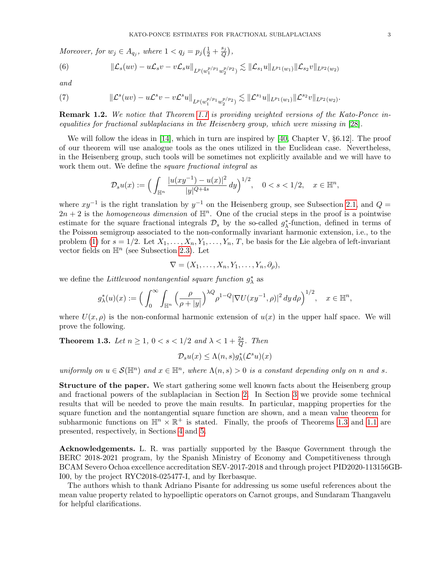Moreover, for  $w_j \in A_{q_j}$ , where  $1 < q_j = p_j \left(\frac{1}{2} + \frac{s_j}{Q}\right)$  $\frac{s_j}{Q}\big),$ 

<span id="page-2-1"></span>(6) 
$$
\|\mathcal{L}_{s}(uv)-u\mathcal{L}_{s}v-v\mathcal{L}_{s}u\|_{L^{p}(w_{1}^{p/p_{1}}w_{2}^{p/p_{2}})} \lesssim \|\mathcal{L}_{s_{1}}u\|_{L^{p_{1}}(w_{1})}\|\mathcal{L}_{s_{2}}v\|_{L^{p_{2}}(w_{2})}
$$

and

<span id="page-2-2"></span>(7) 
$$
\|\mathcal{L}^{s}(uv) - u\mathcal{L}^{s}v - v\mathcal{L}^{s}u\|_{L^{p}(w_{1}^{p/p_{1}}w_{2}^{p/p_{2}})} \lesssim \|\mathcal{L}^{s_{1}}u\|_{L^{p_{1}}(w_{1})}\|\mathcal{L}^{s_{2}}v\|_{L^{p_{2}}(w_{2})}.
$$

**Remark 1.2.** We notice that Theorem [1.1](#page-1-3) is providing weighted versions of the Kato-Ponce inequalities for fractional sublaplacians in the Heisenberg group, which were missing in [\[28\]](#page-17-2).

We will follow the ideas in [\[14\]](#page-16-0), which in turn are inspired by [\[40,](#page-17-8) Chapter V,  $\S6.12$ ]. The proof of our theorem will use analogue tools as the ones utilized in the Euclidean case. Nevertheless, in the Heisenberg group, such tools will be sometimes not explicitly available and we will have to work them out. We define the *square fractional integral* as

$$
\mathcal{D}_s u(x) := \Big( \int_{\mathbb{H}^n} \frac{|u(xy^{-1}) - u(x)|^2}{|y|^{Q+4s}} \, dy \Big)^{1/2}, \quad 0 < s < 1/2, \quad x \in \mathbb{H}^n,
$$

where  $xy^{-1}$  is the right translation by  $y^{-1}$  on the Heisenberg group, see Subsection [2.1,](#page-3-1) and  $Q =$  $2n + 2$  is the *homogeneous dimension* of  $\mathbb{H}^n$ . One of the crucial steps in the proof is a pointwise estimate for the square fractional integrals  $\mathcal{D}_s$  by the so-called  $g^*_{\lambda}$ -function, defined in terms of the Poisson semigroup associated to the non-conformally invariant harmonic extension, i.e., to the problem [\(1\)](#page-1-1) for  $s = 1/2$ . Let  $X_1, \ldots, X_n, Y_1, \ldots, Y_n, T$ , be basis for the Lie algebra of left-invariant vector fields on  $\mathbb{H}^n$  (see Subsection [2.3\)](#page-5-0). Let

$$
\nabla=(X_1,\ldots,X_n,Y_1,\ldots,Y_n,\partial_\rho),
$$

we define the Littlewood nontangential square function  $g^*_{\lambda}$  as

$$
g^*_\lambda(u)(x) := \Big(\int_0^\infty \int_{\mathbb H^n} \Big(\frac{\rho}{\rho + |y|}\Big)^{\lambda Q} \rho^{1-Q} |\nabla U(xy^{-1}, \rho)|^2 dy \, d\rho \Big)^{1/2}, \quad x \in \mathbb H^n,
$$

where  $U(x, \rho)$  is the non-conformal harmonic extension of  $u(x)$  in the upper half space. We will prove the following.

<span id="page-2-0"></span>**Theorem 1.3.** Let  $n \geq 1$ ,  $0 < s < 1/2$  and  $\lambda < 1 + \frac{2s}{Q}$ . Then

$$
\mathcal{D}_s u(x) \leq \Lambda(n, s) g^*_{\lambda}(\mathcal{L}^s u)(x)
$$

uniformly on  $u \in \mathcal{S}(\mathbb{H}^n)$  and  $x \in \mathbb{H}^n$ , where  $\Lambda(n, s) > 0$  is a constant depending only on n and s.

Structure of the paper. We start gathering some well known facts about the Heisenberg group and fractional powers of the sublaplacian in Section [2.](#page-3-0) In Section [3](#page-7-0) we provide some technical results that will be needed to prove the main results. In particular, mapping properties for the square function and the nontangential square function are shown, and a mean value theorem for subharmonic functions on  $\mathbb{H}^n \times \mathbb{R}^+$  is stated. Finally, the proofs of Theorems [1.3](#page-2-0) and [1.1](#page-1-3) are presented, respectively, in Sections [4](#page-12-0) and [5.](#page-15-0)

Acknowledgements. L. R. was partially supported by the Basque Government through the BERC 2018-2021 program, by the Spanish Ministry of Economy and Competitiveness through BCAM Severo Ochoa excellence accreditation SEV-2017-2018 and through project PID2020-113156GB-I00, by the project RYC2018-025477-I, and by Ikerbasque.

The authors whish to thank Adriano Pisante for addressing us some useful references about the mean value property related to hypoelliptic operators on Carnot groups, and Sundaram Thangavelu for helpful clarifications.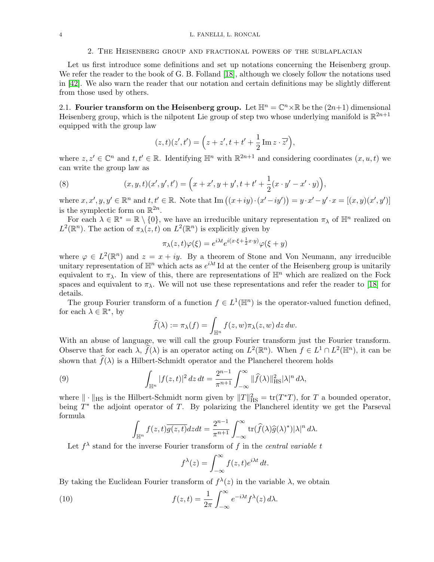## 2. The Heisenberg group and fractional powers of the sublaplacian

<span id="page-3-0"></span>Let us first introduce some definitions and set up notations concerning the Heisenberg group. We refer the reader to the book of G. B. Folland [\[18\]](#page-16-9), although we closely follow the notations used in [\[42\]](#page-17-9). We also warn the reader that our notation and certain definitions may be slightly different from those used by others.

<span id="page-3-1"></span>2.1. Fourier transform on the Heisenberg group. Let  $\mathbb{H}^n = \mathbb{C}^n \times \mathbb{R}$  be the  $(2n+1)$  dimensional Heisenberg group, which is the nilpotent Lie group of step two whose underlying manifold is  $\mathbb{R}^{2n+1}$ equipped with the group law

<span id="page-3-2"></span>
$$
(z,t)(z',t') = \left(z + z', t + t' + \frac{1}{2}\operatorname{Im} z \cdot \overline{z'}\right),\,
$$

where  $z, z' \in \mathbb{C}^n$  and  $t, t' \in \mathbb{R}$ . Identifying  $\mathbb{H}^n$  with  $\mathbb{R}^{2n+1}$  and considering coordinates  $(x, u, t)$  we can write the group law as

(8) 
$$
(x, y, t)(x', y', t') = \left(x + x', y + y', t + t' + \frac{1}{2}(x \cdot y' - x' \cdot y)\right),
$$

where  $x, x', y, y' \in \mathbb{R}^n$  and  $t, t' \in \mathbb{R}$ . Note that  $\text{Im}\left( (x+iy) \cdot (x'-iy') \right) = y \cdot x' - y' \cdot x = [(x, y)(x', y')]$ is the symplectic form on  $\mathbb{R}^{2n}$ .

For each  $\lambda \in \mathbb{R}^* = \mathbb{R} \setminus \{0\}$ , we have an irreducible unitary representation  $\pi_{\lambda}$  of  $\mathbb{H}^n$  realized on  $L^2(\mathbb{R}^n)$ . The action of  $\pi_\lambda(z,t)$  on  $L^2(\mathbb{R}^n)$  is explicitly given by

$$
\pi_{\lambda}(z,t)\varphi(\xi) = e^{i\lambda t}e^{i(x\cdot\xi + \frac{1}{2}x\cdot y)}\varphi(\xi + y)
$$

where  $\varphi \in L^2(\mathbb{R}^n)$  and  $z = x + iy$ . By a theorem of Stone and Von Neumann, any irreducible unitary representation of  $\mathbb{H}^n$  which acts as  $e^{i\lambda t}$  Id at the center of the Heisenberg group is unitarily equivalent to  $\pi_{\lambda}$ . In view of this, there are representations of  $\mathbb{H}^n$  which are realized on the Fock spaces and equivalent to  $\pi_{\lambda}$ . We will not use these representations and refer the reader to [\[18\]](#page-16-9) for details.

The group Fourier transform of a function  $f \in L^1(\mathbb{H}^n)$  is the operator-valued function defined, for each  $\lambda \in \mathbb{R}^*$ , by

$$
\widehat{f}(\lambda) := \pi_{\lambda}(f) = \int_{\mathbb{H}^n} f(z, w) \pi_{\lambda}(z, w) dz dw.
$$

With an abuse of language, we will call the group Fourier transform just the Fourier transform. Observe that for each  $\lambda$ ,  $\widehat{f}(\lambda)$  is an operator acting on  $L^2(\mathbb{R}^n)$ . When  $f \in L^1 \cap L^2(\mathbb{H}^n)$ , it can be shown that  $\hat{f}(\lambda)$  is a Hilbert-Schmidt operator and the Plancherel theorem holds

(9) 
$$
\int_{\mathbb{H}^n} |f(z,t)|^2 dz dt = \frac{2^{n-1}}{\pi^{n+1}} \int_{-\infty}^{\infty} ||\widehat{f}(\lambda)||_{\text{HS}}^2 |\lambda|^n d\lambda,
$$

where  $\|\cdot\|_{\text{HS}}$  is the Hilbert-Schmidt norm given by  $||T||_{\text{HS}}^2 = \text{tr}(T^*T)$ , for T a bounded operator, being  $T^*$  the adjoint operator of T. By polarizing the Plancherel identity we get the Parseval formula

<span id="page-3-3"></span>
$$
\int_{\mathbb{H}^n} f(z,t)\overline{g(z,t)}dzdt = \frac{2^{n-1}}{\pi^{n+1}}\int_{-\infty}^{\infty} \text{tr}(\widehat{f}(\lambda)\widehat{g}(\lambda)^*)|\lambda|^n d\lambda.
$$

Let  $f^{\lambda}$  stand for the inverse Fourier transform of f in the central variable t

<span id="page-3-4"></span>
$$
f^{\lambda}(z) = \int_{-\infty}^{\infty} f(z, t) e^{i\lambda t} dt.
$$

By taking the Euclidean Fourier transform of  $f^{\lambda}(z)$  in the variable  $\lambda$ , we obtain

(10) 
$$
f(z,t) = \frac{1}{2\pi} \int_{-\infty}^{\infty} e^{-i\lambda t} f^{\lambda}(z) d\lambda.
$$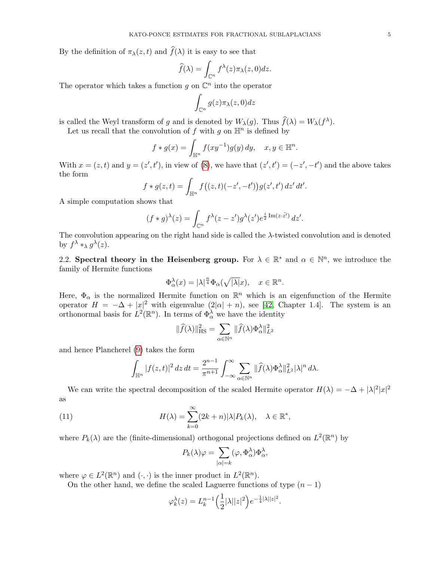By the definition of  $\pi_{\lambda}(z, t)$  and  $\widehat{f}(\lambda)$  it is easy to see that

$$
\widehat{f}(\lambda) = \int_{\mathbb{C}^n} f^{\lambda}(z) \pi_{\lambda}(z, 0) dz.
$$

The operator which takes a function  $g$  on  $\mathbb{C}^n$  into the operator

$$
\int_{\mathbb{C}^n} g(z) \pi_\lambda(z, 0) dz
$$

is called the Weyl transform of g and is denoted by  $W_{\lambda}(g)$ . Thus  $\hat{f}(\lambda) = W_{\lambda}(f^{\lambda})$ .

Let us recall that the convolution of  $f$  with  $g$  on  $\mathbb{H}^n$  is defined by

$$
f * g(x) = \int_{\mathbb{H}^n} f(xy^{-1})g(y) dy, \quad x, y \in \mathbb{H}^n.
$$

With  $x = (z, t)$  and  $y = (z', t')$ , in view of [\(8\)](#page-3-2), we have that  $(z', t') = (-z', -t')$  and the above takes the form

$$
f * g(z, t) = \int_{\mathbb{H}^n} f((z, t)(-z', -t')) g(z', t') dz' dt'.
$$

A simple computation shows that

$$
(f * g)^{\lambda}(z) = \int_{\mathbb{C}^n} f^{\lambda}(z - z')g^{\lambda}(z')e^{\frac{i}{2}\operatorname{Im}(z \cdot \bar{z'})} dz'.
$$

The convolution appearing on the right hand side is called the  $\lambda$ -twisted convolution and is denoted by  $f^{\lambda} *_{\lambda} g^{\lambda}(z)$ .

2.2. Spectral theory in the Heisenberg group. For  $\lambda \in \mathbb{R}^*$  and  $\alpha \in \mathbb{N}^n$ , we introduce the family of Hermite functions

$$
\Phi_\alpha^\lambda(x) = |\lambda|^{\frac{n}{4}} \Phi_\alpha(\sqrt{|\lambda|}x), \quad x \in \mathbb{R}^n.
$$

Here,  $\Phi_{\alpha}$  is the normalized Hermite function on  $\mathbb{R}^{n}$  which is an eigenfunction of the Hermite operator  $H = -\Delta + |x|^2$  with eigenvalue  $(2|\alpha| + n)$ , see [\[42,](#page-17-9) Chapter 1.4]. The system is an orthonormal basis for  $L^2(\mathbb{R}^n)$ . In terms of  $\Phi_\alpha^{\lambda}$  we have the identity

$$
\|\widehat{f}(\lambda)\|_{\text{HS}}^2 = \sum_{\alpha \in \mathbb{N}^n} \|\widehat{f}(\lambda)\Phi_\alpha^{\lambda}\|_{L^2}^2
$$

and hence Plancherel [\(9\)](#page-3-3) takes the form

$$
\int_{\mathbb{H}^n} |f(z,t)|^2 dz dt = \frac{2^{n-1}}{\pi^{n+1}} \int_{-\infty}^{\infty} \sum_{\alpha \in \mathbb{N}^n} ||\widehat{f}(\lambda) \Phi_{\alpha}^{\lambda}||_{L^2}^2 |\lambda|^n d\lambda.
$$

We can write the spectral decomposition of the scaled Hermite operator  $H(\lambda) = -\Delta + |\lambda|^2 |x|^2$ as

(11) 
$$
H(\lambda) = \sum_{k=0}^{\infty} (2k+n)|\lambda| P_k(\lambda), \quad \lambda \in \mathbb{R}^*,
$$

where  $P_k(\lambda)$  are the (finite-dimensional) orthogonal projections defined on  $L^2(\mathbb{R}^n)$  by

<span id="page-4-0"></span>
$$
P_k(\lambda)\varphi = \sum_{|\alpha|=k} (\varphi, \Phi_\alpha^{\lambda})\Phi_\alpha^{\lambda},
$$

where  $\varphi \in L^2(\mathbb{R}^n)$  and  $(\cdot, \cdot)$  is the inner product in  $L^2(\mathbb{R}^n)$ .

On the other hand, we define the scaled Laguerre functions of type  $(n - 1)$ 

$$
\varphi_k^{\lambda}(z) = L_k^{n-1} \left(\frac{1}{2} |\lambda| |z|^2\right) e^{-\frac{1}{4} |\lambda| |z|^2}
$$

.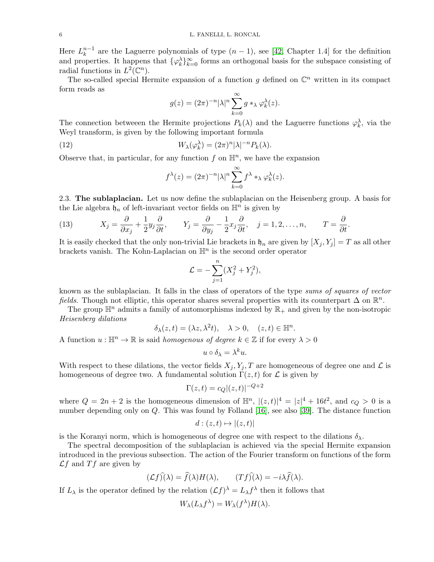Here  $L_k^{n-1}$  $k<sup>n-1</sup>$  are the Laguerre polynomials of type  $(n-1)$ , see [\[42,](#page-17-9) Chapter 1.4] for the definition and properties. It happens that  $\{\varphi_k^{\lambda}\}_{k=0}^{\infty}$  forms an orthogonal basis for the subspace consisting of radial functions in  $L^2(\mathbb{C}^n)$ .

The so-called special Hermite expansion of a function  $g$  defined on  $\mathbb{C}^n$  written in its compact form reads as

$$
g(z) = (2\pi)^{-n} |\lambda|^n \sum_{k=0}^{\infty} g *_{\lambda} \varphi_k^{\lambda}(z).
$$

The connection betweeen the Hermite projections  $P_k(\lambda)$  and the Laguerre functions  $\varphi_k^{\lambda}$ , via the Weyl transform, is given by the following important formula

(12) 
$$
W_{\lambda}(\varphi_k^{\lambda}) = (2\pi)^n |\lambda|^{-n} P_k(\lambda).
$$

Observe that, in particular, for any function  $f$  on  $\mathbb{H}^n$ , we have the expansion

<span id="page-5-1"></span>
$$
f^{\lambda}(z) = (2\pi)^{-n} |\lambda|^n \sum_{k=0}^{\infty} f^{\lambda} *_{\lambda} \varphi_k^{\lambda}(z).
$$

<span id="page-5-0"></span>2.3. The sublaplacian. Let us now define the sublaplacian on the Heisenberg group. A basis for the Lie algebra  $\mathfrak{h}_n$  of left-invariant vector fields on  $\mathbb{H}^n$  is given by

<span id="page-5-2"></span>(13) 
$$
X_j = \frac{\partial}{\partial x_j} + \frac{1}{2} y_j \frac{\partial}{\partial t}, \qquad Y_j = \frac{\partial}{\partial y_j} - \frac{1}{2} x_j \frac{\partial}{\partial t}, \quad j = 1, 2, ..., n, \qquad T = \frac{\partial}{\partial t}.
$$

It is easily checked that the only non-trivial Lie brackets in  $\mathfrak{h}_n$  are given by  $[X_i, Y_j] = T$  as all other brackets vanish. The Kohn-Laplacian on  $\mathbb{H}^n$  is the second order operator

$$
\mathcal{L} = -\sum_{j=1}^{n} (X_j^2 + Y_j^2),
$$

known as the sublaplacian. It falls in the class of operators of the type sums of squares of vector fields. Though not elliptic, this operator shares several properties with its counterpart  $\Delta$  on  $\mathbb{R}^n$ .

The group  $\mathbb{H}^n$  admits a family of automorphisms indexed by  $\mathbb{R}_+$  and given by the non-isotropic Heisenberg dilations

$$
\delta_{\lambda}(z,t)=(\lambda z,\lambda^2 t), \quad \lambda>0, \quad (z,t)\in \mathbb{H}^n.
$$

A function  $u : \mathbb{H}^n \to \mathbb{R}$  is said *homogenous of degree*  $k \in \mathbb{Z}$  if for every  $\lambda > 0$ 

$$
u \circ \delta_{\lambda} = \lambda^k u.
$$

With respect to these dilations, the vector fields  $X_j, Y_j, T$  are homogeneous of degree one and  $\mathcal L$  is homogeneous of degree two. A fundamental solution  $\Gamma(z, t)$  for  $\mathcal L$  is given by

$$
\Gamma(z,t) = c_Q|(z,t)|^{-Q+2}
$$

where  $Q = 2n + 2$  is the homogeneous dimension of  $\mathbb{H}^n$ ,  $|(z, t)|^4 = |z|^4 + 16t^2$ , and  $c_Q > 0$  is a number depending only on  $Q$ . This was found by Folland [\[16\]](#page-16-10), see also [\[39\]](#page-17-10). The distance function

$$
d:(z,t)\mapsto |(z,t)|
$$

is the Koranyi norm, which is homogeneous of degree one with respect to the dilations  $\delta_{\lambda}$ .

The spectral decomposition of the sublaplacian is achieved via the special Hermite expansion introduced in the previous subsection. The action of the Fourier transform on functions of the form  $\mathcal{L}f$  and  $Tf$  are given by

$$
(\mathcal{L}f)\hat{)}(\lambda) = \hat{f}(\lambda)H(\lambda), \qquad (Tf)\hat{)}(\lambda) = -i\lambda\hat{f}(\lambda).
$$

If  $L_{\lambda}$  is the operator defined by the relation  $(\mathcal{L}f)^{\lambda} = L_{\lambda}f^{\lambda}$  then it follows that

$$
W_{\lambda}(L_{\lambda}f^{\lambda}) = W_{\lambda}(f^{\lambda})H(\lambda).
$$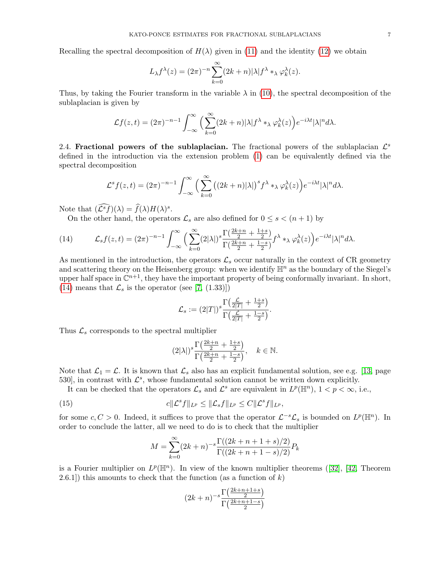Recalling the spectral decomposition of  $H(\lambda)$  given in [\(11\)](#page-4-0) and the identity [\(12\)](#page-5-1) we obtain

$$
L_{\lambda} f^{\lambda}(z) = (2\pi)^{-n} \sum_{k=0}^{\infty} (2k+n) |\lambda| f^{\lambda} *_{\lambda} \varphi_k^{\lambda}(z).
$$

Thus, by taking the Fourier transform in the variable  $\lambda$  in [\(10\)](#page-3-4), the spectral decomposition of the sublaplacian is given by

$$
\mathcal{L}f(z,t) = (2\pi)^{-n-1} \int_{-\infty}^{\infty} \Big( \sum_{k=0}^{\infty} (2k+n) |\lambda| f^{\lambda} *_{\lambda} \varphi_k^{\lambda}(z) \Big) e^{-i\lambda t} |\lambda|^n d\lambda.
$$

<span id="page-6-0"></span>2.4. Fractional powers of the sublaplacian. The fractional powers of the sublaplacian  $\mathcal{L}^s$ defined in the introduction via the extension problem [\(1\)](#page-1-1) can be equivalently defined via the spectral decomposition

$$
\mathcal{L}^s f(z,t) = (2\pi)^{-n-1} \int_{-\infty}^{\infty} \Big( \sum_{k=0}^{\infty} \big( (2k+n)|\lambda| \big)^s f^{\lambda} *_{\lambda} \varphi_k^{\lambda}(z) \Big) e^{-i\lambda t} |\lambda|^n d\lambda.
$$

Note that  $(\widehat{\mathcal{L}}^s \widehat{f})(\lambda) = \widehat{f}(\lambda)H(\lambda)^s$ .

<span id="page-6-1"></span>On the other hand, the operators  $\mathcal{L}_s$  are also defined for  $0 \leq s < (n+1)$  by

(14) 
$$
\mathcal{L}_s f(z,t) = (2\pi)^{-n-1} \int_{-\infty}^{\infty} \Big( \sum_{k=0}^{\infty} (2|\lambda|)^s \frac{\Gamma(\frac{2k+n}{2} + \frac{1+s}{2})}{\Gamma(\frac{2k+n}{2} + \frac{1-s}{2})} f^{\lambda} *_{\lambda} \varphi_k^{\lambda}(z) \Big) e^{-i\lambda t} |\lambda|^n d\lambda.
$$

As mentioned in the introduction, the operators  $\mathcal{L}_s$  occur naturally in the context of CR geometry and scattering theory on the Heisenberg group: when we identify  $\mathbb{H}^n$  as the boundary of the Siegel's upper half space in  $\mathbb{C}^{n+1}$ , they have the important property of being conformally invariant. In short, [\(14\)](#page-6-1) means that  $\mathcal{L}_s$  is the operator (see [\[7,](#page-16-7) (1.33)])

$$
\mathcal{L}_s := (2|T|)^s \frac{\Gamma\left(\frac{\mathcal{L}}{2|T|} + \frac{1+s}{2}\right)}{\Gamma\left(\frac{\mathcal{L}}{2|T|} + \frac{1-s}{2}\right)}.
$$

Thus  $\mathcal{L}_s$  corresponds to the spectral multiplier

$$
(2|\lambda|)^s \frac{\Gamma\left(\frac{2k+n}{2} + \frac{1+s}{2}\right)}{\Gamma\left(\frac{2k+n}{2} + \frac{1-s}{2}\right)}, \quad k \in \mathbb{N}.
$$

Note that  $\mathcal{L}_1 = \mathcal{L}$ . It is known that  $\mathcal{L}_s$  also has an explicit fundamental solution, see e.g. [\[13,](#page-16-11) page 530], in contrast with  $\mathcal{L}^s$ , whose fundamental solution cannot be written down explicitly.

It can be checked that the operators  $\mathcal{L}_s$  and  $\mathcal{L}^s$  are equivalent in  $L^p(\mathbb{H}^n)$ ,  $1 < p < \infty$ , i.e.,

(15) 
$$
c\|\mathcal{L}^s f\|_{L^p} \leq \|\mathcal{L}_s f\|_{L^p} \leq C\|\mathcal{L}^s f\|_{L^p},
$$

for some  $c, C > 0$ . Indeed, it suffices to prove that the operator  $\mathcal{L}^{-s} \mathcal{L}_s$  is bounded on  $L^p(\mathbb{H}^n)$ . In order to conclude the latter, all we need to do is to check that the multiplier

<span id="page-6-2"></span>
$$
M = \sum_{k=0}^{\infty} (2k+n)^{-s} \frac{\Gamma((2k+n+1+s)/2)}{\Gamma((2k+n+1-s)/2)} P_k
$$

isa Fourier multiplier on  $L^p(\mathbb{H}^n)$ . In view of the known multiplier theorems ([\[32\]](#page-17-11), [\[42,](#page-17-9) Theorem 2.6.1) this amounts to check that the function (as a function of  $k$ )

$$
(2k+n)^{-s} \frac{\Gamma\left(\frac{2k+n+1+s}{2}\right)}{\Gamma\left(\frac{2k+n+1-s}{2}\right)}
$$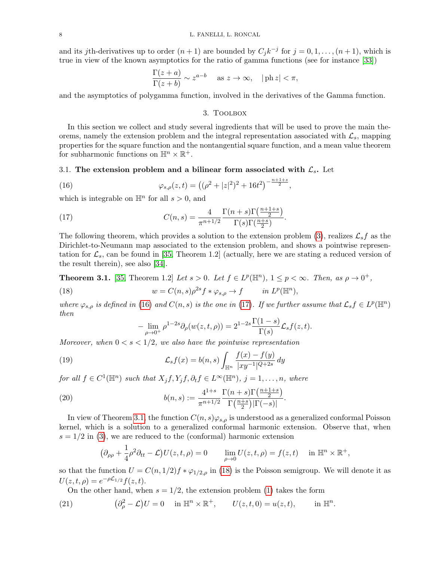and its jth-derivatives up to order  $(n+1)$  are bounded by  $C_j k^{-j}$  for  $j = 0, 1, ..., (n+1)$ , which is true in view of the known asymptotics for the ratio of gamma functions (see for instance [\[33\]](#page-17-12))

$$
\frac{\Gamma(z+a)}{\Gamma(z+b)} \sim z^{a-b} \quad \text{as } z \to \infty, \quad |\text{ph } z| < \pi,
$$

<span id="page-7-0"></span>and the asymptotics of polygamma function, involved in the derivatives of the Gamma function.

# <span id="page-7-1"></span>3. Toolbox

In this section we collect and study several ingredients that will be used to prove the main theorems, namely the extension problem and the integral representation associated with  $\mathcal{L}_s$ , mapping properties for the square function and the nontangential square function, and a mean value theorem for subharmonic functions on  $\mathbb{H}^n \times \mathbb{R}^+$ .

### 3.1. The extension problem and a bilinear form associated with  $\mathcal{L}_{s}$ . Let

(16) 
$$
\varphi_{s,\rho}(z,t) = ((\rho^2 + |z|^2)^2 + 16t^2)^{-\frac{n+1+s}{2}},
$$

which is integrable on  $\mathbb{H}^n$  for all  $s > 0$ , and

<span id="page-7-2"></span>(17) 
$$
C(n,s) = \frac{4}{\pi^{n+1/2}} \frac{\Gamma(n+s)\Gamma(\frac{n+1+s}{2})}{\Gamma(s)\Gamma(\frac{n+s}{2})}.
$$

The following theorem, which provides a solution to the extension problem [\(3\)](#page-1-2), realizes  $\mathcal{L}_s f$  as the Dirichlet-to-Neumann map associated to the extension problem, and shows a pointwise representation for  $\mathcal{L}_s$ , can be found in [\[35,](#page-17-13) Theorem 1.2] (actually, here we are stating a reduced version of the result therein), see also [\[34\]](#page-17-14).

<span id="page-7-3"></span>**Theorem 3.1.** [\[35,](#page-17-13) Theorem 1.2] Let  $s > 0$ . Let  $f \in L^p(\mathbb{H}^n)$ ,  $1 \leq p < \infty$ . Then, as  $\rho \to 0^+$ ,

(18) 
$$
w = C(n,s)\rho^{2s}f \ast \varphi_{s,\rho} \to f \qquad in \ L^p(\mathbb{H}^n),
$$

where  $\varphi_{s,\rho}$  is defined in [\(16\)](#page-7-1) and  $C(n,s)$  is the one in [\(17\)](#page-7-2). If we further assume that  $\mathcal{L}_s f \in L^p(\mathbb{H}^n)$ then

<span id="page-7-7"></span><span id="page-7-6"></span><span id="page-7-4"></span>
$$
-\lim_{\rho \to 0^+} \rho^{1-2s} \partial_\rho(w(z,t,\rho)) = 2^{1-2s} \frac{\Gamma(1-s)}{\Gamma(s)} \mathcal{L}_s f(z,t).
$$

Moreover, when  $0 < s < 1/2$ , we also have the pointwise representation

(19) 
$$
\mathcal{L}_s f(x) = b(n, s) \int_{\mathbb{H}^n} \frac{f(x) - f(y)}{|xy^{-1}|^{Q+2s}} dy
$$

for all  $f \in C^1(\mathbb{H}^n)$  such that  $X_j f, Y_j f, \partial_t f \in L^{\infty}(\mathbb{H}^n)$ ,  $j = 1, ..., n$ , where

(20) 
$$
b(n,s) := \frac{4^{1+s}}{\pi^{n+1/2}} \frac{\Gamma(n+s)\Gamma(\frac{n+1+s}{2})}{\Gamma(\frac{n+s}{2})|\Gamma(-s)|}.
$$

In view of Theorem [3.1,](#page-7-3) the function  $C(n, s)\varphi_{s,\rho}$  is understood as a generalized conformal Poisson kernel, which is a solution to a generalized conformal harmonic extension. Observe that, when  $s = 1/2$  in [\(3\)](#page-1-2), we are reduced to the (conformal) harmonic extension

$$
(\partial_{\rho\rho} + \frac{1}{4}\rho^2 \partial_{tt} - \mathcal{L})U(z, t, \rho) = 0 \qquad \lim_{\rho \to 0} U(z, t, \rho) = f(z, t) \quad \text{in } \mathbb{H}^n \times \mathbb{R}^+,
$$

so that the function  $U = C(n, 1/2)f * \varphi_{1/2,\rho}$  in [\(18\)](#page-7-4) is the Poisson semigroup. We will denote it as  $U(z, t, \rho) = e^{-\rho \mathcal{L}_{1/2}} f(z, t).$ 

<span id="page-7-5"></span>On the other hand, when  $s = 1/2$ , the extension problem [\(1\)](#page-1-1) takes the form

(21) 
$$
(\partial_{\rho}^{2} - \mathcal{L})U = 0 \quad \text{in } \mathbb{H}^{n} \times \mathbb{R}^{+}, \qquad U(z, t, 0) = u(z, t), \qquad \text{in } \mathbb{H}^{n}.
$$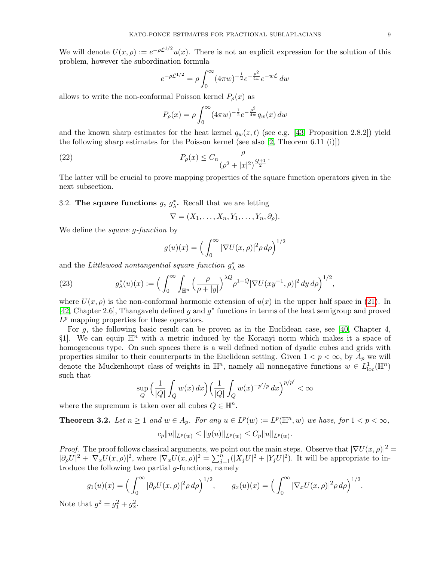We will denote  $U(x,\rho) := e^{-\rho \mathcal{L}^{1/2}} u(x)$ . There is not an explicit expression for the solution of this problem, however the subordination formula

$$
e^{-\rho \mathcal{L}^{1/2}} = \rho \int_0^\infty (4\pi w)^{-\frac{1}{2}} e^{-\frac{\rho^2}{4w}} e^{-w\mathcal{L}} dw
$$

allows to write the non-conformal Poisson kernel  $P_{\rho}(x)$  as

<span id="page-8-0"></span>
$$
P_{\rho}(x) = \rho \int_0^{\infty} (4\pi w)^{-\frac{1}{2}} e^{-\frac{\rho^2}{4w}} q_w(x) \, dw
$$

and the known sharp estimates for the heat kernel  $q_w(z, t)$  (see e.g. [\[43,](#page-17-15) Proposition 2.8.2]) yield the following sharp estimates for the Poisson kernel (see also [\[2,](#page-16-12) Theorem 6.11 (i)])

(22) 
$$
P_{\rho}(x) \leq C_n \frac{\rho}{(\rho^2 + |x|^2)^{\frac{Q+1}{2}}}.
$$

The latter will be crucial to prove mapping properties of the square function operators given in the next subsection.

3.2. The square functions  $g, g_{\lambda}^*$ . Recall that we are letting

 $\nabla = (X_1, \ldots, X_n, Y_1, \ldots, Y_n, \partial_\rho).$ 

We define the *square g-function* by

$$
g(u)(x) = \left(\int_0^\infty |\nabla U(x,\rho)|^2 \rho \, d\rho\right)^{1/2}
$$

and the Littlewood nontangential square function  $g^*_{\lambda}$  as

<span id="page-8-2"></span>(23) 
$$
g_{\lambda}^{*}(u)(x) := \Big(\int_{0}^{\infty} \int_{\mathbb{H}^{n}} \Big(\frac{\rho}{\rho + |y|}\Big)^{\lambda Q} \rho^{1-Q} |\nabla U(xy^{-1}, \rho)|^{2} dy d\rho\Big)^{1/2},
$$

where  $U(x, \rho)$  is the non-conformal harmonic extension of  $u(x)$  in the upper half space in [\(21\)](#page-7-5). In [\[42,](#page-17-9) Chapter 2.6], Thangavelu defined g and  $g^*$  functions in terms of the heat semigroup and proved  $L^p$  mapping properties for these operators.

For  $g$ , the following basic result can be proven as in the Euclidean case, see [\[40,](#page-17-8) Chapter 4, §1]. We can equip  $\mathbb{H}^n$  with a metric induced by the Koranyi norm which makes it a space of homogeneous type. On such spaces there is a well defined notion of dyadic cubes and grids with properties similar to their counterparts in the Euclidean setting. Given  $1 < p < \infty$ , by  $A_p$  we will denote the Muckenhoupt class of weights in  $\mathbb{H}^n$ , namely all nonnegative functions  $w \in L^1_{loc}(\mathbb{H}^n)$ such that

$$
\sup_Q \Big(\frac{1}{|Q|}\int_Q w(x)\,dx\Big) \Big(\frac{1}{|Q|}\int_Q w(x)^{-p'/p}\,dx\Big)^{p/p'}<\infty
$$

where the supremum is taken over all cubes  $Q \in \mathbb{H}^n$ .

<span id="page-8-1"></span>**Theorem 3.2.** Let  $n \geq 1$  and  $w \in A_p$ . For any  $u \in L^p(w) := L^p(\mathbb{H}^n, w)$  we have, for  $1 < p < \infty$ ,

$$
c_p||u||_{L^p(w)} \leq ||g(u)||_{L^p(w)} \leq C_p||u||_{L^p(w)}.
$$

*Proof.* The proof follows classical arguments, we point out the main steps. Observe that  $|\nabla U(x, \rho)|^2$  =  $|\partial_{\rho}U|^2 + |\nabla_x U(x,\rho)|^2$ , where  $|\nabla_x U(x,\rho)|^2 = \sum_{j=1}^{\tilde{n}} (|X_jU|^2 + |Y_jU|^2)$ . It will be appropriate to introduce the following two partial  $g$ -functions, namely

$$
g_1(u)(x) = \left(\int_0^\infty |\partial_\rho U(x,\rho)|^2 \rho \, d\rho\right)^{1/2}, \qquad g_x(u)(x) = \left(\int_0^\infty |\nabla_x U(x,\rho)|^2 \rho \, d\rho\right)^{1/2}.
$$
  
at  $g^2 = g_1^2 + g_x^2.$ 

Note that  $g^2 = g_1^2 + g_x^2$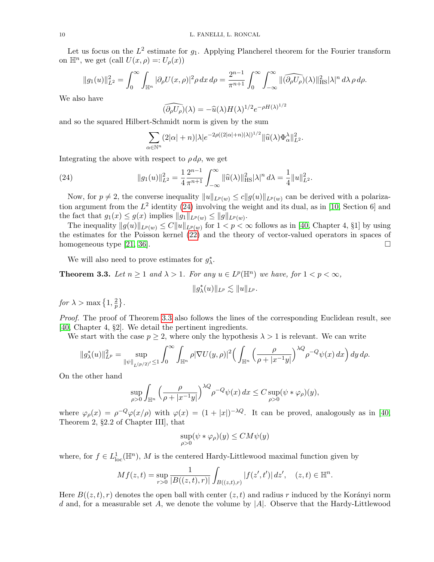Let us focus on the  $L^2$  estimate for  $g_1$ . Applying Plancherel theorem for the Fourier transform on  $\mathbb{H}^n$ , we get (call  $U(x,\rho) =: U_\rho(x)$ )

$$
||g_1(u)||_{L^2}^2 = \int_0^\infty \int_{\mathbb{H}^n} |\partial_\rho U(x,\rho)|^2 \rho \, dx \, d\rho = \frac{2^{n-1}}{\pi^{n+1}} \int_0^\infty \int_{-\infty}^\infty ||\widehat{(\partial_\rho U_\rho)}(\lambda)||_{\text{HS}}^2 |\lambda|^n \, d\lambda \, \rho \, d\rho.
$$

We also have

$$
(\widehat{\partial_{\rho}U_{\rho}})(\lambda) = -\widehat{u}(\lambda)H(\lambda)^{1/2}e^{-\rho H(\lambda)^{1/2}}
$$

and so the squared Hilbert-Schmidt norm is given by the sum

<span id="page-9-0"></span>
$$
\sum_{\alpha \in \mathbb{N}^n} (2|\alpha|+n)|\lambda|e^{-2\rho((2|\alpha|+n)|\lambda|)^{1/2}} \|\widehat{u}(\lambda)\Phi_\alpha^{\lambda}\|_{L^2}^2.
$$

Integrating the above with respect to  $\rho d\rho$ , we get

(24) 
$$
||g_1(u)||_{L^2}^2 = \frac{1}{4} \frac{2^{n-1}}{\pi^{n+1}} \int_{-\infty}^{\infty} ||\widehat{u}(\lambda)||_{\text{HS}}^2 |\lambda|^n d\lambda = \frac{1}{4} ||u||_{L^2}^2.
$$

Now, for  $p \neq 2$ , the converse inequality  $||u||_{L^p(w)} \leq c||g(u)||_{L^p(w)}$  can be derived with a polarization argument from the  $L^2$  identity [\(24\)](#page-9-0) involving the weight and its dual, as in [\[10,](#page-16-13) Section 6] and the fact that  $g_1(x) \leq g(x)$  implies  $||g_1||_{L^p(w)} \leq ||g||_{L^p(w)}$ .

The inequality  $||g(u)||_{L^p(w)} \leq C||u||_{L^p(w)}$  for  $1 < p < \infty$  follows as in [\[40,](#page-17-8) Chapter 4, §1] by using the estimates for the Poisson kernel [\(22\)](#page-8-0) and the theory of vector-valued operators in spaces of homogeneous type [\[21,](#page-16-14) [36\]](#page-17-16).  $\square$ 

We will also need to prove estimates for  $g_{\lambda}^*$ .

<span id="page-9-1"></span>**Theorem 3.3.** Let  $n \geq 1$  and  $\lambda > 1$ . For any  $u \in L^p(\mathbb{H}^n)$  we have, for  $1 < p < \infty$ ,

 $||g^*_{\lambda}(u)||_{L^p} \lesssim ||u||_{L^p}.$ 

for  $\lambda > \max\left\{1, \frac{2}{n}\right\}$  $\frac{2}{p}\big\}$  .

Proof. The proof of Theorem [3.3](#page-9-1) also follows the lines of the corresponding Euclidean result, see [\[40,](#page-17-8) Chapter 4, §2]. We detail the pertinent ingredients.

We start with the case  $p \geq 2$ , where only the hypothesis  $\lambda > 1$  is relevant. We can write

$$
\|g_{\lambda}^{*}(u)\|_{L^{p}}^{2} = \sup_{\|\psi\|_{L^{(p/2)}} \leq 1} \int_{0}^{\infty} \int_{\mathbb{H}^{n}} \rho |\nabla U(y, \rho)|^{2} \Big(\int_{\mathbb{H}^{n}} \Big(\frac{\rho}{\rho + |x^{-1}y|}\Big)^{\lambda Q} \rho^{-Q} \psi(x) dx\Big) dy d\rho.
$$

On the other hand

$$
\sup_{\rho>0} \int_{\mathbb{H}^n} \left( \frac{\rho}{\rho + |x^{-1}y|} \right)^{\lambda Q} \rho^{-Q} \psi(x) dx \le C \sup_{\rho>0} (\psi * \varphi_{\rho})(y),
$$

where  $\varphi_{\rho}(x) = \rho^{-Q} \varphi(x/\rho)$  with  $\varphi(x) = (1 + |x|)^{-\lambda Q}$ . It can be proved, analogously as in [\[40,](#page-17-8) Theorem 2, §2.2 of Chapter III], that

$$
\sup_{\rho>0} (\psi * \varphi_{\rho})(y) \le CM\psi(y)
$$

where, for  $f \in L^1_{loc}(\mathbb{H}^n)$ , M is the centered Hardy-Littlewood maximal function given by

$$
Mf(z,t) = \sup_{r>0} \frac{1}{|B((z,t),r)|} \int_{B((z,t),r)} |f(z',t')| dz', \quad (z,t) \in \mathbb{H}^n.
$$

Here  $B((z, t), r)$  denotes the open ball with center  $(z, t)$  and radius r induced by the Korányi norm d and, for a measurable set A, we denote the volume by  $|A|$ . Observe that the Hardy-Littlewood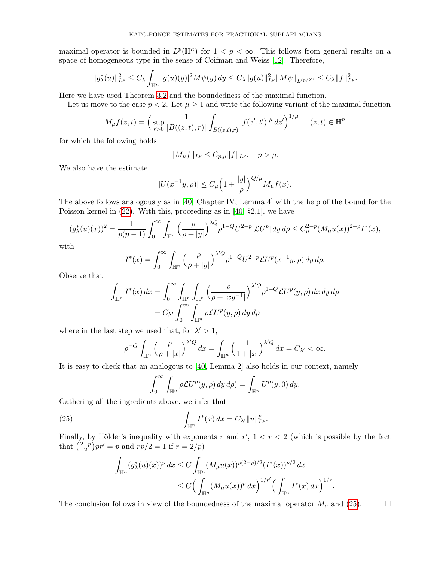maximal operator is bounded in  $L^p(\mathbb{H}^n)$  for  $1 < p < \infty$ . This follows from general results on a space of homogeneous type in the sense of Coifman and Weiss [\[12\]](#page-16-15). Therefore,

$$
||g_{\lambda}^{*}(u)||_{L^{p}}^{2} \leq C_{\lambda} \int_{\mathbb{H}^{n}} |g(u)(y)|^{2} M\psi(y) dy \leq C_{\lambda} ||g(u)||_{L^{p}}^{2} ||M\psi||_{L^{(p/2)'}} \leq C_{\lambda} ||f||_{L^{p}}^{2}.
$$

Here we have used Theorem [3.2](#page-8-1) and the boundedness of the maximal function.

Let us move to the case  $p < 2$ . Let  $\mu \geq 1$  and write the following variant of the maximal function

$$
M_{\mu}f(z,t) = \left(\sup_{r>0} \frac{1}{|B((z,t),r)|} \int_{B((z,t),r)} |f(z',t')|^{\mu} dz'\right)^{1/\mu}, \quad (z,t) \in \mathbb{H}^{n}
$$

for which the following holds

$$
||M_{\mu}f||_{L^{p}} \leq C_{p,\mu}||f||_{L^{p}}, \quad p > \mu.
$$

We also have the estimate

$$
|U(x^{-1}y,\rho)| \le C_{\mu} \left(1 + \frac{|y|}{\rho}\right)^{Q/\mu} M_{\mu} f(x).
$$

The above follows analogously as in [\[40,](#page-17-8) Chapter IV, Lemma 4] with the help of the bound for the Poisson kernel in [\(22\)](#page-8-0). With this, proceeding as in [\[40,](#page-17-8) §2.1], we have

$$
(g_{\lambda}^{*}(u)(x))^{2} = \frac{1}{p(p-1)} \int_{0}^{\infty} \int_{\mathbb{H}^{n}} \left(\frac{\rho}{\rho+|y|}\right)^{\lambda Q} \rho^{1-Q} U^{2-p} |\mathcal{L}U^{p}| dy d\rho \leq C_{\mu}^{2-p} (M_{\mu}u(x))^{2-p} I^{*}(x),
$$

with

$$
I^*(x) = \int_0^\infty \int_{\mathbb{H}^n} \left( \frac{\rho}{\rho + |y|} \right)^{\lambda/Q} \rho^{1-Q} U^{2-p} \mathcal{L} U^p(x^{-1}y, \rho) \, dy \, d\rho.
$$

Observe that

$$
\int_{\mathbb{H}^n} I^*(x) dx = \int_0^\infty \int_{\mathbb{H}^n} \int_{\mathbb{H}^n} \left( \frac{\rho}{\rho + |xy^{-1}|} \right)^{\lambda'Q} \rho^{1-Q} \mathcal{L}U^p(y, \rho) dx dy d\rho
$$
  
=  $C_{\lambda'} \int_0^\infty \int_{\mathbb{H}^n} \rho \mathcal{L}U^p(y, \rho) dy d\rho$ 

where in the last step we used that, for  $\lambda' > 1$ ,

$$
\rho^{-Q} \int_{\mathbb{H}^n} \left( \frac{\rho}{\rho + |x|} \right)^{\lambda'Q} dx = \int_{\mathbb{H}^n} \left( \frac{1}{1 + |x|} \right)^{\lambda'Q} dx = C_{\lambda'} < \infty.
$$

It is easy to check that an analogous to [\[40,](#page-17-8) Lemma 2] also holds in our context, namely

<span id="page-10-0"></span>
$$
\int_0^\infty \int_{\mathbb{H}^n} \rho \mathcal{L}U^p(y,\rho) \, dy \, d\rho = \int_{\mathbb{H}^n} U^p(y,0) \, dy.
$$

Gathering all the ingredients above, we infer that

(25) 
$$
\int_{\mathbb{H}^n} I^*(x) dx = C_{\lambda'} \|u\|_{L^p}^p.
$$

Finally, by Hölder's inequality with exponents r and  $r'$ ,  $1 < r < 2$  (which is possible by the fact that  $\left(\frac{2-p}{2}\right)$  $(\frac{-p}{2})pr' = p$  and  $rp/2 = 1$  if  $r = 2/p$ 

$$
\int_{\mathbb{H}^n} (g^*_{\lambda}(u)(x))^p dx \le C \int_{\mathbb{H}^n} (M_{\mu}u(x))^{p(2-p)/2} (I^*(x))^{p/2} dx
$$
  

$$
\le C \Big( \int_{\mathbb{H}^n} (M_{\mu}u(x))^p dx \Big)^{1/r'} \Big( \int_{\mathbb{H}^n} I^*(x) dx \Big)^{1/r}
$$

.

The conclusion follows in view of the boundedness of the maximal operator  $M_{\mu}$  and [\(25\)](#page-10-0).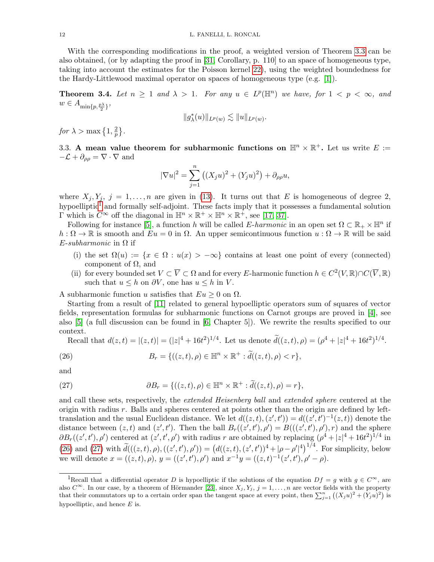With the corresponding modifications in the proof, a weighted version of Theorem [3.3](#page-9-1) can be also obtained, (or by adapting the proof in [\[31,](#page-17-17) Corollary, p. 110] to an space of homogeneous type, taking into account the estimates for the Poisson kernel [22\)](#page-8-0), using the weighted boundedness for the Hardy-Littlewood maximal operator on spaces of homogeneous type (e.g. [\[1\]](#page-16-16)).

<span id="page-11-3"></span>**Theorem 3.4.** Let  $n \geq 1$  and  $\lambda > 1$ . For any  $u \in L^p(\mathbb{H}^n)$  we have, for  $1 < p < \infty$ , and  $w \in A_{\min\{p, \frac{p\lambda}{2}\}}$ 

$$
||g^*_{\lambda}(u)||_{L^p(w)} \lesssim ||u||_{L^p(w)}.
$$

for  $\lambda > \max\left\{1, \frac{2}{n}\right\}$  $\frac{2}{p}\big\}$  .

3.3. A mean value theorem for subharmonic functions on  $\mathbb{H}^n \times \mathbb{R}^+$ . Let us write  $E :=$  $-\mathcal{L} + \partial_{\rho\rho} = \nabla \cdot \nabla$  and

$$
|\nabla u|^{2} = \sum_{j=1}^{n} ((X_{j}u)^{2} + (Y_{j}u)^{2}) + \partial_{\rho\rho}u,
$$

where  $X_j, Y_j, j = 1, ..., n$  are given in [\(13\)](#page-5-2). It turns out that E is homogeneous of degree 2, hypoelliptic<sup>[1](#page-11-0)</sup> and formally self-adjoint. These facts imply that it possesses a fundamental solution  $\Gamma$  which is  $C^{\infty}$  off the diagonal in  $\mathbb{H}^n \times \mathbb{R}^+ \times \mathbb{H}^n \times \mathbb{R}^+$ , see [\[17,](#page-16-17) [37\]](#page-17-18).

Following for instance [\[5\]](#page-16-18), a function h will be called E-harmonic in an open set  $\Omega \subset \mathbb{R}_+ \times \mathbb{H}^n$  if  $h:\Omega\to\mathbb{R}$  is smooth and  $Eu=0$  in  $\Omega$ . An upper semicontinuous function  $u:\Omega\to\mathbb{R}$  will be said  $E$ -subharmonic in  $\Omega$  if

- (i) the set  $\Omega(u) := \{x \in \Omega : u(x) > -\infty\}$  contains at least one point of every (connected) component of  $\Omega$ , and
- (ii) for every bounded set  $V \subset \overline{V} \subset \Omega$  and for every E-harmonic function  $h \in C^2(V, \mathbb{R}) \cap C(\overline{V}, \mathbb{R})$ such that  $u \leq h$  on  $\partial V$ , one has  $u \leq h$  in V.

A subharmonic function u satisfies that  $Eu \geq 0$  on  $\Omega$ .

Starting from a result of [\[11\]](#page-16-19) related to general hypoelliptic operators sum of squares of vector fields, representation formulas for subharmonic functions on Carnot groups are proved in [\[4\]](#page-16-20), see also [\[5\]](#page-16-18) (a full discussion can be found in [\[6,](#page-16-21) Chapter 5]). We rewrite the results specified to our context.

<span id="page-11-1"></span>Recall that 
$$
d(z, t) = |(z, t)| = (|z|^4 + 16t^2)^{1/4}
$$
. Let us denote  $\tilde{d}((z, t), \rho) = (\rho^4 + |z|^4 + 16t^2)^{1/4}$ .

(26) 
$$
B_r = \{((z,t), \rho) \in \mathbb{H}^n \times \mathbb{R}^+ : \tilde{d}((z,t), \rho) < r\},\
$$

and

<span id="page-11-2"></span>(27) 
$$
\partial B_r = \{((z,t), \rho) \in \mathbb{H}^n \times \mathbb{R}^+ : \tilde{d}((z,t), \rho) = r\},\
$$

and call these sets, respectively, the *extended Heisenberg ball* and *extended sphere* centered at the origin with radius  $r$ . Balls and spheres centered at points other than the origin are defined by lefttranslation and the usual Euclidean distance. We let  $d((z,t),(z',t')) = d((z',t')^{-1}(z,t))$  denote the distance between  $(z, t)$  and  $(z', t')$ . Then the ball  $B_r((z', t'), \rho') = B(((z', t'), \rho'), r)$  and the sphere  $\partial B_r((z',t'),\rho')$  centered at  $(z',t',\rho')$  with radius r are obtained by replacing  $(\rho^4+|z|^4+16t^2)^{1/4}$  in [\(26\)](#page-11-1) and [\(27\)](#page-11-2) with  $\tilde{d}(((z,t),\rho),((z',t'),\rho')) = (d((z,t),(z',t'))^4 + |\rho - \rho'|^4)^{1/4}$ . For simplicity, below we will denote  $x = ((z, t), \rho), y = ((z', t'), \rho')$  and  $x^{-1}y = ((z, t)^{-1}(z', t'), \rho' - \rho)$ .

<span id="page-11-0"></span><sup>&</sup>lt;sup>1</sup>Recall that a differential operator D is hypoelliptic if the solutions of the equation  $Df = g$  with  $g \in C^{\infty}$ , are also  $C^{\infty}$ . In our case, by a theorem of Hörmander [\[23\]](#page-16-22), since  $X_j, Y_j, j = 1, ..., n$  are vector fields with the property that their commutators up to a certain order span the tangent space at every point, then  $\sum_{j=1}^{n} ((X_j u)^2 + (Y_j u)^2)$  is hypoelliptic, and hence  $E$  is.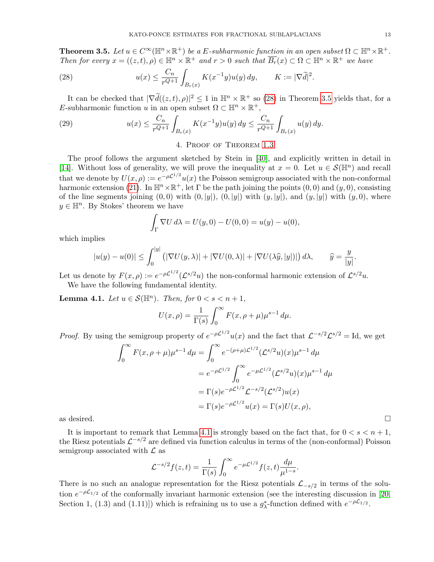<span id="page-12-2"></span>**Theorem 3.5.** Let  $u \in C^{\infty}(\mathbb{H}^n \times \mathbb{R}^+)$  be a E-subharmonic function in an open subset  $\Omega \subset \mathbb{H}^n \times \mathbb{R}^+$ . Then for every  $x = ((z, t), \rho) \in \mathbb{H}^n \times \mathbb{R}^+$  and  $r > 0$  such that  $\overline{B_r}(x) \subset \Omega \subset \mathbb{H}^n \times \mathbb{R}^+$  we have

<span id="page-12-1"></span>(28) 
$$
u(x) \leq \frac{C_n}{r^{Q+1}} \int_{B_r(x)} K(x^{-1}y)u(y) \, dy, \qquad K := |\nabla \tilde{d}|^2.
$$

It can be checked that  $|\nabla \tilde{d}((z,t), \rho)|^2 \leq 1$  in  $\mathbb{H}^n \times \mathbb{R}^+$  so [\(28\)](#page-12-1) in Theorem [3.5](#page-12-2) yields that, for a E-subharmonic function u in an open subset  $\Omega \subset \mathbb{H}^n \times \mathbb{R}^+,$ 

(29) 
$$
u(x) \leq \frac{C_n}{r^{Q+1}} \int_{B_r(x)} K(x^{-1}y)u(y) dy \leq \frac{C_n}{r^{Q+1}} \int_{B_r(x)} u(y) dy.
$$

# <span id="page-12-4"></span>4. Proof of Theorem [1.3](#page-2-0)

<span id="page-12-0"></span>The proof follows the argument sketched by Stein in [\[40\]](#page-17-8), and explicitly written in detail in [\[14\]](#page-16-0). Without loss of generality, we will prove the inequality at  $x = 0$ . Let  $u \in \mathcal{S}(\mathbb{H}^n)$  and recall that we denote by  $U(x,\rho) := e^{-\rho \mathcal{L}^{1/2}} u(x)$  the Poisson semigroup associated with the non-conformal harmonic extension [\(21\)](#page-7-5). In  $\mathbb{H}^n \times \mathbb{R}^+$ , let  $\Gamma$  be the path joining the points  $(0,0)$  and  $(y,0)$ , consisting of the line segments joining  $(0, 0)$  with  $(0, |y|)$ ,  $(0, |y|)$  with  $(y, |y|)$ , and  $(y, |y|)$  with  $(y, 0)$ , where  $y \in \mathbb{H}^n$ . By Stokes' theorem we have

$$
\int_{\Gamma} \nabla U \, d\lambda = U(y,0) - U(0,0) = u(y) - u(0),
$$

which implies

$$
|u(y) - u(0)| \le \int_0^{|y|} \left( |\nabla U(y, \lambda)| + |\nabla U(0, \lambda)| + |\nabla U(\lambda \widehat{y}, |y|)| \right) d\lambda, \qquad \widehat{y} = \frac{y}{|y|}.
$$

Let us denote by  $F(x, \rho) := e^{-\rho \mathcal{L}^{1/2}} (\mathcal{L}^{s/2} u)$  the non-conformal harmonic extension of  $\mathcal{L}^{s/2} u$ . We have the following fundamental identity.

<span id="page-12-3"></span>**Lemma 4.1.** Let  $u \in \mathcal{S}(\mathbb{H}^n)$ . Then, for  $0 < s < n+1$ ,

$$
U(x,\rho) = \frac{1}{\Gamma(s)} \int_0^\infty F(x,\rho+\mu)\mu^{s-1} d\mu.
$$

*Proof.* By using the semigroup property of  $e^{-\rho \mathcal{L}^{1/2}} u(x)$  and the fact that  $\mathcal{L}^{-s/2} \mathcal{L}^{s/2} = \text{Id}$ , we get

$$
\int_0^{\infty} F(x, \rho + \mu) \mu^{s-1} d\mu = \int_0^{\infty} e^{-(\rho + \mu) \mathcal{L}^{1/2}} (\mathcal{L}^{s/2} u)(x) \mu^{s-1} d\mu
$$
  
\n
$$
= e^{-\rho \mathcal{L}^{1/2}} \int_0^{\infty} e^{-\mu \mathcal{L}^{1/2}} (\mathcal{L}^{s/2} u)(x) \mu^{s-1} d\mu
$$
  
\n
$$
= \Gamma(s) e^{-\rho \mathcal{L}^{1/2}} \mathcal{L}^{-s/2} (\mathcal{L}^{s/2}) u(x)
$$
  
\n
$$
= \Gamma(s) e^{-\rho \mathcal{L}^{1/2}} u(x) = \Gamma(s) U(x, \rho),
$$
  
\nas desired.

.

It is important to remark that Lemma [4.1](#page-12-3) is strongly based on the fact that, for  $0 < s < n+1$ , the Riesz potentials  $\mathcal{L}^{-s/2}$  are defined via function calculus in terms of the (non-conformal) Poisson semigroup associated with  $\mathcal L$  as

$$
\mathcal{L}^{-s/2} f(z, t) = \frac{1}{\Gamma(s)} \int_0^\infty e^{-\mu \mathcal{L}^{1/2}} f(z, t) \frac{d\mu}{\mu^{1-s}}
$$

There is no such an analogue representation for the Riesz potentials  $\mathcal{L}_{-s/2}$  in terms of the solution  $e^{-\rho \mathcal{L}_{1/2}}$  of the conformally invariant harmonic extension (see the interesting discussion in [\[20,](#page-16-23) Section 1, (1.3) and (1.11)]) which is refraining us to use a  $g_{\lambda}^{*}$ -function defined with  $e^{-\rho \mathcal{L}_{1/2}}$ .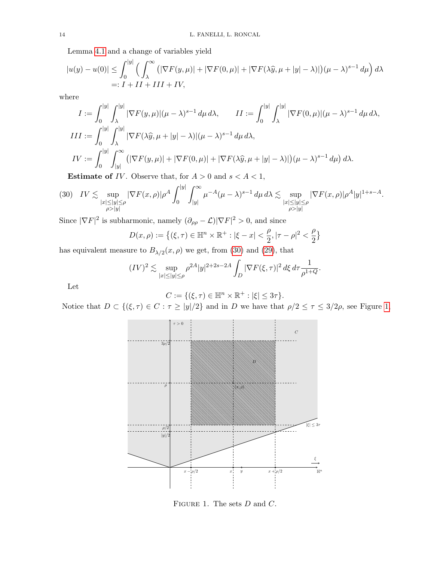Lemma [4.1](#page-12-3) and a change of variables yield

$$
|u(y) - u(0)| \le \int_0^{|y|} \left( \int_\lambda^\infty \left( |\nabla F(y, \mu)| + |\nabla F(0, \mu)| + |\nabla F(\lambda \widehat{y}, \mu + |y| - \lambda) |\right) (\mu - \lambda)^{s-1} d\mu \right) d\lambda
$$
  
=:  $I + II + III + IV$ ,

where

$$
I := \int_0^{|y|} \int_\lambda^{|y|} |\nabla F(y,\mu)| (\mu - \lambda)^{s-1} d\mu d\lambda, \qquad II := \int_0^{|y|} \int_\lambda^{|y|} |\nabla F(0,\mu)| (\mu - \lambda)^{s-1} d\mu d\lambda,
$$
  
\n
$$
III := \int_0^{|y|} \int_\lambda^{|y|} |\nabla F(\lambda \widehat{y}, \mu + |y| - \lambda)| (\mu - \lambda)^{s-1} d\mu d\lambda,
$$
  
\n
$$
IV := \int_0^{|y|} \int_{|y|}^\infty (|\nabla F(y,\mu)| + |\nabla F(0,\mu)| + |\nabla F(\lambda \widehat{y}, \mu + |y| - \lambda)|) (\mu - \lambda)^{s-1} d\mu d\lambda.
$$

<span id="page-13-0"></span>**Estimate of** *IV*. Observe that, for  $A > 0$  and  $s < A < 1$ ,

$$
(30) \quad IV \lesssim \sup_{\substack{|x| \le |y| \le \rho \\ \rho > |y|}} |\nabla F(x,\rho)| \rho^A \int_0^{|y|} \int_{|y|}^\infty \mu^{-A} (\mu - \lambda)^{s-1} d\mu d\lambda \lesssim \sup_{\substack{|x| \le |y| \le \rho \\ \rho > |y|}} |\nabla F(x,\rho)| \rho^A |y|^{1+s-A}.
$$

Since  $|\nabla F|^2$  is subharmonic, namely  $(\partial_{\rho\rho} - \mathcal{L}) |\nabla F|^2 > 0$ , and since

$$
D(x, \rho) := \left\{ (\xi, \tau) \in \mathbb{H}^n \times \mathbb{R}^+ : |\xi - x| < \frac{\rho}{2}, |\tau - \rho|^2 < \frac{\rho}{2} \right\}
$$

has equivalent measure to  $B_{\lambda/2}(x,\rho)$  we get, from [\(30\)](#page-13-0) and [\(29\)](#page-12-4), that

$$
(IV)^2 \lesssim \sup_{|x| \le |y| \le \rho} \rho^{2A} |y|^{2+2s-2A} \int_D |\nabla F(\xi, \tau)|^2 d\xi \, d\tau \frac{1}{\rho^{1+Q}}.
$$

Let

$$
C := \{ (\xi, \tau) \in \mathbb{H}^n \times \mathbb{R}^+ : |\xi| \leq 3\tau \}.
$$

Notice that  $D \subset \{(\xi, \tau) \in C : \tau \ge |y|/2\}$  and in D we have that  $\rho/2 \le \tau \le 3/2\rho$ , see Figure [1,](#page-13-1)



<span id="page-13-1"></span>FIGURE 1. The sets  $D$  and  $C$ .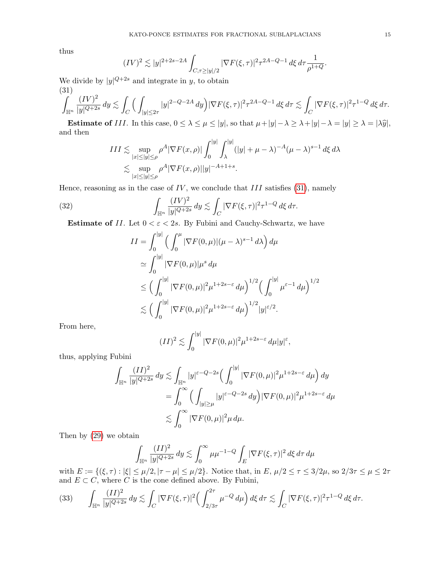thus

$$
(IV)^2 \lesssim |y|^{2+2s-2A} \int_{C,\tau \geq |y|/2} |\nabla F(\xi,\tau)|^2 \tau^{2A-Q-1} d\xi d\tau \frac{1}{\rho^{1+Q}}.
$$

We divide by  $|y|^{Q+2s}$  and integrate in y, to obtain (31)

<span id="page-14-0"></span>
$$
\int_{\mathbb{H}^n} \frac{(IV)^2}{|y|^{Q+2s}} \, dy \lesssim \int_C \Big( \int_{|y| \le 2\tau} |y|^{2-Q-2A} \, dy \Big) |\nabla F(\xi,\tau)|^2 \tau^{2A-Q-1} \, d\xi \, d\tau \lesssim \int_C |\nabla F(\xi,\tau)|^2 \tau^{1-Q} \, d\xi \, d\tau.
$$

**Estimate of** III. In this case,  $0 \leq \lambda \leq \mu \leq |y|$ , so that  $\mu + |y| - \lambda \geq \lambda + |y| - \lambda = |y| \geq \lambda = |\lambda \hat{y}|$ , and then

$$
III \lesssim \sup_{|x| \le |y| \le \rho} \rho^{A} |\nabla F(x, \rho)| \int_0^{|y|} \int_{\lambda}^{|y|} (|y| + \mu - \lambda)^{-A} (\mu - \lambda)^{s-1} d\xi d\lambda
$$
  

$$
\lesssim \sup_{|x| \le |y| \le \rho} \rho^{A} |\nabla F(x, \rho)| |y|^{-A+1+s}.
$$

Hence, reasoning as in the case of  $IV$ , we conclude that  $III$  satisfies [\(31\)](#page-14-0), namely

(32) 
$$
\int_{\mathbb{H}^n} \frac{(IV)^2}{|y|^{Q+2s}} dy \lesssim \int_C |\nabla F(\xi,\tau)|^2 \tau^{1-Q} d\xi d\tau.
$$

**Estimate of II.** Let  $0 < \varepsilon < 2s$ . By Fubini and Cauchy-Schwartz, we have

<span id="page-14-1"></span>
$$
II = \int_0^{|y|} \left( \int_0^{\mu} |\nabla F(0, \mu)| (\mu - \lambda)^{s-1} d\lambda \right) d\mu
$$
  
\n
$$
\simeq \int_0^{|y|} |\nabla F(0, \mu)| \mu^s d\mu
$$
  
\n
$$
\leq \left( \int_0^{|y|} |\nabla F(0, \mu)|^2 \mu^{1+2s-\varepsilon} d\mu \right)^{1/2} \left( \int_0^{|y|} \mu^{\varepsilon-1} d\mu \right)^{1/2}
$$
  
\n
$$
\lesssim \left( \int_0^{|y|} |\nabla F(0, \mu)|^2 \mu^{1+2s-\varepsilon} d\mu \right)^{1/2} |y|^{\varepsilon/2}.
$$

From here,

$$
(II)^2 \lesssim \int_0^{|y|} |\nabla F(0,\mu)|^2 \mu^{1+2s-\varepsilon} d\mu |y|^{\varepsilon},
$$

thus, applying Fubini

$$
\int_{\mathbb{H}^n} \frac{(II)^2}{|y|^{Q+2s}} dy \lesssim \int_{\mathbb{H}^n} |y|^{\varepsilon - Q - 2s} \Big( \int_0^{|y|} |\nabla F(0, \mu)|^2 \mu^{1+2s-\varepsilon} d\mu \Big) dy
$$
  
= 
$$
\int_0^\infty \Big( \int_{|y| \ge \mu} |y|^{\varepsilon - Q - 2s} dy \Big) |\nabla F(0, \mu)|^2 \mu^{1+2s-\varepsilon} d\mu
$$
  

$$
\lesssim \int_0^\infty |\nabla F(0, \mu)|^2 \mu d\mu.
$$

Then by [\(29\)](#page-12-4) we obtain

$$
\int_{\mathbb{H}^n} \frac{(II)^2}{|y|^{Q+2s}} dy \lesssim \int_0^\infty \mu \mu^{-1-Q} \int_E |\nabla F(\xi,\tau)|^2 d\xi d\tau d\mu
$$

with  $E := \{(\xi, \tau) : |\xi| \leq \mu/2, |\tau - \mu| \leq \mu/2\}$ . Notice that, in  $E, \mu/2 \leq \tau \leq 3/2\mu$ , so  $2/3\tau \leq \mu \leq 2\tau$ and  $E \subset C$ , where C is the cone defined above. By Fubini,

<span id="page-14-2"></span>
$$
(33) \qquad \int_{\mathbb{H}^n} \frac{(II)^2}{|y|^{Q+2s}} \, dy \lesssim \int_C |\nabla F(\xi,\tau)|^2 \Big( \int_{2/3\tau}^{2\tau} \mu^{-Q} \, d\mu \Big) \, d\xi \, d\tau \lesssim \int_C |\nabla F(\xi,\tau)|^2 \tau^{1-Q} \, d\xi \, d\tau.
$$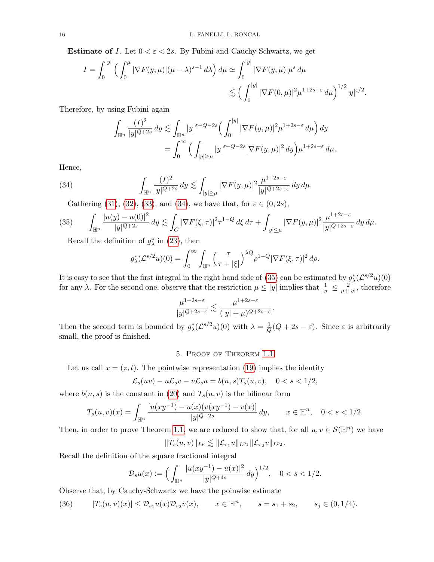**Estimate of** I. Let  $0 < \varepsilon < 2s$ . By Fubini and Cauchy-Schwartz, we get

$$
I = \int_0^{|y|} \left( \int_0^{\mu} |\nabla F(y,\mu)| (\mu - \lambda)^{s-1} d\lambda \right) d\mu \simeq \int_0^{|y|} |\nabla F(y,\mu)| \mu^s d\mu \n\lesssim \left( \int_0^{|y|} |\nabla F(0,\mu)|^2 \mu^{1+2s-\varepsilon} d\mu \right)^{1/2} |y|^{\varepsilon/2}.
$$

Therefore, by using Fubini again

<span id="page-15-1"></span>
$$
\int_{\mathbb{H}^n} \frac{(I)^2}{|y|^{Q+2s}} dy \lesssim \int_{\mathbb{H}^n} |y|^{\varepsilon - Q - 2s} \Big( \int_0^{|y|} |\nabla F(y,\mu)|^2 \mu^{1+2s-\varepsilon} d\mu \Big) dy
$$
  
= 
$$
\int_0^\infty \Big( \int_{|y| \ge \mu} |y|^{\varepsilon - Q - 2s} |\nabla F(y,\mu)|^2 dy \Big) \mu^{1+2s-\varepsilon} d\mu.
$$

Hence,

(34) 
$$
\int_{\mathbb{H}^n} \frac{(I)^2}{|y|^{Q+2s}} dy \lesssim \int_{|y| \ge \mu} |\nabla F(y,\mu)|^2 \frac{\mu^{1+2s-\varepsilon}}{|y|^{Q+2s-\varepsilon}} dy d\mu.
$$

<span id="page-15-2"></span>Gathering [\(31\)](#page-14-0), [\(32\)](#page-14-1), [\(33\)](#page-14-2), and [\(34\)](#page-15-1), we have that, for  $\varepsilon \in (0, 2s)$ ,

(35) 
$$
\int_{\mathbb{H}^n} \frac{|u(y) - u(0)|^2}{|y|^{Q+2s}} dy \lesssim \int_C |\nabla F(\xi, \tau)|^2 \tau^{1-Q} d\xi d\tau + \int_{|y| \le \mu} |\nabla F(y, \mu)|^2 \frac{\mu^{1+2s-\varepsilon}}{|y|^{Q+2s-\varepsilon}} dy d\mu.
$$

Recall the definition of  $g_{\lambda}^*$  in [\(23\)](#page-8-2), then

$$
g_{\lambda}^*(\mathcal{L}^{s/2}u)(0) = \int_0^\infty \int_{\mathbb{H}^n} \left(\frac{\tau}{\tau + |\xi|}\right)^{\lambda Q} \rho^{1-Q} |\nabla F(\xi, \tau)|^2 d\rho.
$$

It is easy to see that the first integral in the right hand side of [\(35\)](#page-15-2) can be estimated by  $g^*_{\lambda}(\mathcal{L}^{s/2}u)(0)$ for any  $\lambda$ . For the second one, observe that the restriction  $\mu \le |y|$  implies that  $\frac{1}{|y|} \le \frac{2}{\mu + 1}$  $\frac{2}{\mu+|y|}$ , therefore

$$
\frac{\mu^{1+2s-\varepsilon}}{|y|^{Q+2s-\varepsilon}} \lesssim \frac{\mu^{1+2s-\varepsilon}}{(|y|+\mu)^{Q+2s-\varepsilon}}.
$$

Then the second term is bounded by  $g^*_{\lambda}(\mathcal{L}^{s/2}u)(0)$  with  $\lambda = \frac{1}{Q}$  $\frac{1}{Q}(Q + 2s - \varepsilon)$ . Since  $\varepsilon$  is arbitrarily small, the proof is finished.

# 5. Proof of Theorem [1.1](#page-1-3)

<span id="page-15-0"></span>Let us call  $x = (z, t)$ . The pointwise representation [\(19\)](#page-7-6) implies the identity

$$
\mathcal{L}_s(uv) - u\mathcal{L}_sv - v\mathcal{L}_su = b(n,s)T_s(u,v), \quad 0 < s < 1/2,
$$

where  $b(n, s)$  is the constant in [\(20\)](#page-7-7) and  $T_s(u, v)$  is the bilinear form

$$
T_s(u,v)(x) = \int_{\mathbb{H}^n} \frac{[u(xy^{-1}) - u(x)(v(xy^{-1}) - v(x)]}{|y|^{Q+2s}} dy, \qquad x \in \mathbb{H}^n, \quad 0 < s < 1/2.
$$

Then, in order to prove Theorem [1.1,](#page-1-3) we are reduced to show that, for all  $u, v \in \mathcal{S}(\mathbb{H}^n)$  we have

$$
||T_s(u,v)||_{L^p} \lesssim ||\mathcal{L}_{s_1}u||_{L^{p_1}} ||\mathcal{L}_{s_2}v||_{L^{p_2}}.
$$

Recall the definition of the square fractional integral

$$
\mathcal{D}_s u(x) := \Big(\int_{\mathbb{H}^n} \frac{|u(xy^{-1}) - u(x)|^2}{|y|^{Q+4s}} \, dy\Big)^{1/2}, \quad 0 < s < 1/2.
$$

Observe that, by Cauchy-Schwartz we have the poinwise estimate

<span id="page-15-3"></span>(36) 
$$
|T_s(u, v)(x)| \leq \mathcal{D}_{s_1} u(x) \mathcal{D}_{s_2} v(x), \qquad x \in \mathbb{H}^n, \qquad s = s_1 + s_2, \qquad s_j \in (0, 1/4).
$$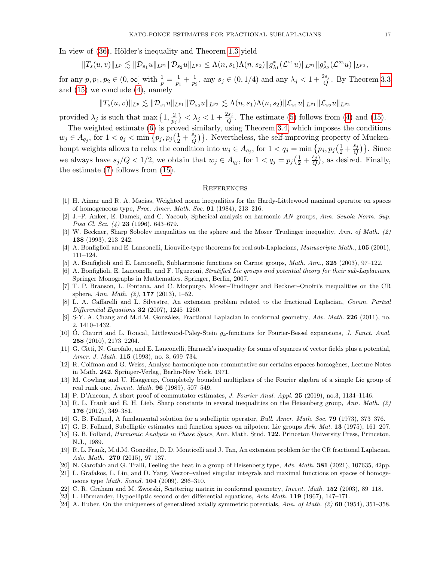In view of [\(36\)](#page-15-3), Hölder's inequality and Theorem [1.3](#page-2-0) yield

$$
||T_s(u,v)||_{L^p} \lesssim ||D_{s_1}u||_{L^{p_1}} ||D_{s_2}u||_{L^{p_2}} \leq \Lambda(n,s_1)\Lambda(n,s_2)||g^*_{\lambda_1}(\mathcal{L}^{s_1}u)||_{L^{p_1}} ||g^*_{\lambda_2}(\mathcal{L}^{s_2}u)||_{L^{p_2}},
$$

for any  $p, p_1, p_2 \in (0, \infty]$  with  $\frac{1}{p} = \frac{1}{p_1}$  $\frac{1}{p_1} + \frac{1}{p_2}$  $\frac{1}{p_2}$ , any  $s_j \in (0, 1/4)$  and any  $\lambda_j < 1 + \frac{2s_j}{Q}$ . By Theorem [3.3](#page-9-1) and [\(15\)](#page-6-2) we conclude [\(4\)](#page-1-4), namely

$$
||T_s(u,v)||_{L^p} \lesssim ||\mathcal{D}_{s_1}u||_{L^{p_1}} ||\mathcal{D}_{s_2}u||_{L^{p_2}} \lesssim \Lambda(n,s_1)\Lambda(n,s_2)||\mathcal{L}_{s_1}u||_{L^{p_1}} ||\mathcal{L}_{s_2}u||_{L^{p_2}}
$$

provided  $\lambda_j$  is such that max  $\left\{1, \frac{2}{n}\right\}$  $\frac{2}{p_j}$   $\big\} < \lambda_j < 1 + \frac{2s_j}{Q}$ . The estimate [\(5\)](#page-1-5) follows from [\(4\)](#page-1-4) and [\(15\)](#page-6-2).

The weighted estimate [\(6\)](#page-2-1) is proved similarly, using Theorem [3.4,](#page-11-3) which imposes the conditions  $w_j \in A_{q_j}$ , for  $1 < q_j < \min\left\{p_j, p_j\left(\frac{1}{2} + \frac{s_j}{Q}\right)\right\}$  $\binom{s_j}{Q}$ . Nevertheless, the self-improving property of Muckenhoupt weights allows to relax the condition into  $w_j \in A_{q_j}$ , for  $1 < q_j = \min\left\{p_j, p_j\left(\frac{1}{2} + \frac{s_j}{Q}\right)\right\}$  $\{\frac{s_j}{Q}\}\}\.$  Since we always have  $s_j/Q < 1/2$ , we obtain that  $w_j \in A_{q_j}$ , for  $1 < q_j = p_j(\frac{1}{2} + \frac{s_j}{Q})$  $\left(\frac{s_j}{Q}\right)$ , as desired. Finally, the estimate [\(7\)](#page-2-2) follows from [\(15\)](#page-6-2).

## **REFERENCES**

- <span id="page-16-16"></span>[1] H. Aimar and R. A. Macías, Weighted norm inequalities for the Hardy-Littlewood maximal operator on spaces of homogeneous type, Proc. Amer. Math. Soc. 91 (1984), 213–216.
- <span id="page-16-12"></span>[2] J.–P. Anker, E. Damek, and C. Yacoub, Spherical analysis on harmonic AN groups, Ann. Scuola Norm. Sup. *Pisa Cl. Sci.* (4) **23** (1996), 643–679.
- <span id="page-16-6"></span>[3] W. Beckner, Sharp Sobolev inequalities on the sphere and the Moser–Trudinger inequality, Ann. of Math. (2) 138 (1993), 213–242.
- <span id="page-16-20"></span>[4] A. Bonfiglioli and E. Lanconelli, Liouville-type theorems for real sub-Laplacians, Manuscripta Math., 105 (2001), 111–124.
- <span id="page-16-18"></span>[5] A. Bonfiglioli and E. Lanconelli, Subharmonic functions on Carnot groups, Math. Ann., 325 (2003), 97–122.
- <span id="page-16-21"></span>[6] A. Bonfiglioli, E. Lanconelli, and F. Uguzzoni, Stratified Lie groups and potential theory for their sub-Laplacians, Springer Monographs in Mathematics. Springer, Berlin, 2007.
- <span id="page-16-7"></span>[7] T. P. Branson, L. Fontana, and C. Morpurgo, Moser–Trudinger and Beckner–Onofri's inequalities on the CR sphere, Ann. Math.  $(2)$ , 177  $(2013)$ , 1–52.
- <span id="page-16-2"></span>[8] L. A. Caffarelli and L. Silvestre, An extension problem related to the fractional Laplacian, Comm. Partial Differential Equations 32 (2007), 1245–1260.
- <span id="page-16-3"></span>[9] S-Y. A. Chang and M.d.M. González, Fractional Laplacian in conformal geometry, Adv. Math. 226 (2011), no. 2, 1410–1432.
- <span id="page-16-13"></span>[10] O. Ciaurri and L. Roncal, Littlewood-Paley-Stein  $q_k$ -functions for Fourier-Bessel expansions, J. Funct. Anal. 258 (2010), 2173–2204.
- <span id="page-16-19"></span>[11] G. Citti, N. Garofalo, and E. Lanconelli, Harnack's inequality for sums of squares of vector fields plus a potential, Amer. J. Math. **115** (1993), no. 3, 699-734.
- <span id="page-16-15"></span>[12] R. Coifman and G. Weiss, Analyse harmonique non-commutative sur certains espaces homogènes, Lecture Notes in Math. 242. Springer-Verlag, Berlin-New York, 1971.
- <span id="page-16-11"></span>[13] M. Cowling and U. Haagerup, Completely bounded multipliers of the Fourier algebra of a simple Lie group of real rank one, Invent. Math. 96 (1989), 507–549.
- <span id="page-16-0"></span>[14] P. D'Ancona, A short proof of commutator estimates, J. Fourier Anal. Appl. 25 (2019), no.3, 1134–1146.
- <span id="page-16-8"></span>[15] R. L. Frank and E. H. Lieb, Sharp constants in several inequalities on the Heisenberg group, Ann. Math. (2) 176 (2012), 349–381.
- <span id="page-16-10"></span>[16] G. B. Folland, A fundamental solution for a subelliptic operator, Bull. Amer. Math. Soc. 79 (1973), 373–376.
- <span id="page-16-17"></span>[17] G. B. Folland, Subelliptic estimates and function spaces on nilpotent Lie groups Ark. Mat. 13 (1975), 161–207.
- <span id="page-16-9"></span>[18] G. B. Folland, *Harmonic Analysis in Phase Space*, Ann. Math. Stud. 122. Princeton University Press, Princeton, N.J., 1989.
- <span id="page-16-5"></span>[19] R. L. Frank, M.d.M. González, D. D. Monticelli and J. Tan, An extension problem for the CR fractional Laplacian, Adv. Math. 270 (2015), 97–137.
- <span id="page-16-23"></span>[20] N. Garofalo and G. Tralli, Feeling the heat in a group of Heisenberg type, Adv. Math. **381** (2021), 107635, 42pp.
- <span id="page-16-14"></span>[21] L. Grafakos, L. Liu, and D. Yang, Vector–valued singular integrals and maximal functions on spaces of homogeneous type *Math. Scand.* **104** (2009), 296-310.
- <span id="page-16-4"></span>[22] C. R. Graham and M. Zworski, Scattering matrix in conformal geometry, Invent. Math. 152 (2003), 89–118.
- <span id="page-16-22"></span>[23] L. Hörmander, Hypoelliptic second order differential equations, Acta Math. 119 (1967), 147–171.
- <span id="page-16-1"></span>[24] A. Huber, On the uniqueness of generalized axially symmetric potentials, Ann. of Math. (2) 60 (1954), 351–358.